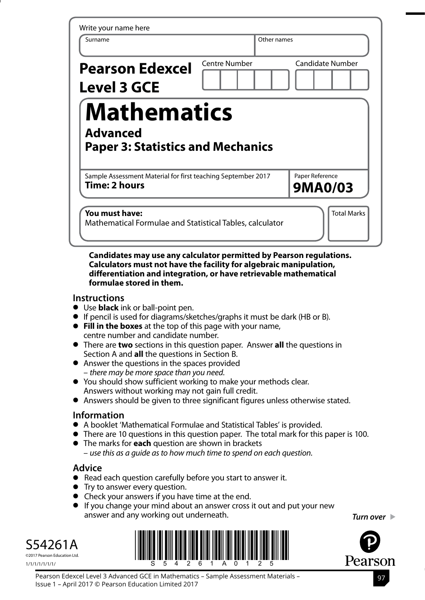| Write your name here                                                                 |                      |                                   |
|--------------------------------------------------------------------------------------|----------------------|-----------------------------------|
| Surname                                                                              | Other names          |                                   |
| <b>Pearson Edexcel</b><br><b>Level 3 GCE</b>                                         | <b>Centre Number</b> | <b>Candidate Number</b>           |
| <b>Mathematics</b><br><b>Advanced</b><br><b>Paper 3: Statistics and Mechanics</b>    |                      |                                   |
| Sample Assessment Material for first teaching September 2017<br><b>Time: 2 hours</b> |                      | Paper Reference<br><b>9MA0/03</b> |
| You must have:<br>Mathematical Formulae and Statistical Tables, calculator           |                      | <b>Total Marks</b>                |

#### **Candidates may use any calculator permitted by Pearson regulations. Calculators must not have the facility for algebraic manipulation, differentiation and integration, or have retrievable mathematical formulae stored in them.**

### **Instructions**

- **•** Use **black** ink or ball-point pen.
- **•** If pencil is used for diagrams/sketches/graphs it must be dark (HB or B).
- **• Fill in the boxes** at the top of this page with your name, centre number and candidate number.
- **•** There are **two** sections in this question paper. Answer **all** the questions in Section A and **all** the questions in Section B.
- **•** Answer the questions in the spaces provided – *there may be more space than you need*.
- **•** You should show sufficient working to make your methods clear. Answers without working may not gain full credit.
- **•** Answers should be given to three significant figures unless otherwise stated.

# **Information**

- **•** A booklet 'Mathematical Formulae and Statistical Tables' is provided.
- **•** There are 10 questions in this question paper. The total mark for this paper is 100.
- **•** The marks for **each** question are shown in brackets – *use this as a guide as to how much time to spend on each question*.

# **Advice**

- **•** Read each question carefully before you start to answer it.
- **•** Try to answer every question.
- **•** Check your answers if you have time at the end.
- **•** If you change your mind about an answer cross it out and put your new answer and any working out underneath.

S54261A ©2017 Pearson Education Ltd.





*Turn over*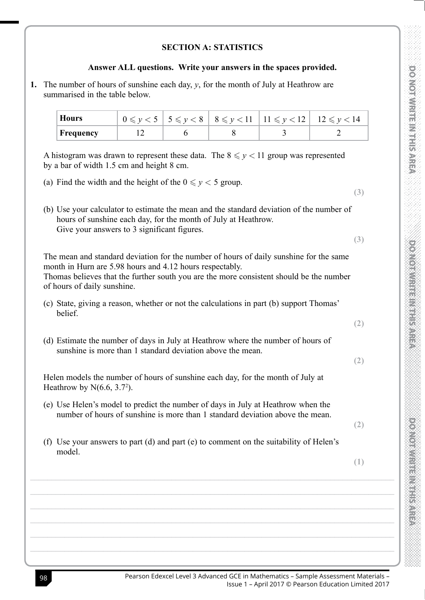## **SECTION A: STATISTICS**

#### Answer ALL questions. Write your answers in the spaces provided.

1. The number of hours of sunshine each day,  $y$ , for the month of July at Heathrow are summarised in the table below

| <b>Hours</b>     |  |  | $0 \le y < 5$   $5 \le y < 8$   $8 \le y < 11$   $11 \le y < 12$   $12 \le y < 14$ |
|------------------|--|--|------------------------------------------------------------------------------------|
| <b>Frequency</b> |  |  |                                                                                    |

A histogram was drawn to represent these data. The  $8 \le y < 11$  group was represented by a bar of width 1.5 cm and height 8 cm.

- (a) Find the width and the height of the  $0 \le y < 5$  group.
- (b) Use your calculator to estimate the mean and the standard deviation of the number of hours of sunshine each day, for the month of July at Heathrow. Give your answers to 3 significant figures.

The mean and standard deviation for the number of hours of daily sunshine for the same month in Hurn are 5.98 hours and 4.12 hours respectably.

Thomas believes that the further south you are the more consistent should be the number of hours of daily sunshine.

- (c) State, giving a reason, whether or not the calculations in part (b) support Thomas' helief.
- (d) Estimate the number of days in July at Heathrow where the number of hours of sunshine is more than 1 standard deviation above the mean

Helen models the number of hours of sunshine each day, for the month of July at Heathrow by  $N(6.6, 3.7<sup>2</sup>)$ .

- (e) Use Helen's model to predict the number of days in July at Heathrow when the number of hours of sunshine is more than 1 standard deviation above the mean.
- (f) Use your answers to part (d) and part (e) to comment on the suitability of Helen's model.
- $(1)$

 $(2)$ 

 $(3)$ 

 $(3)$ 

 $(2)$ 

 $(2)$ 

**DONOLONGEMENT HIS AREA**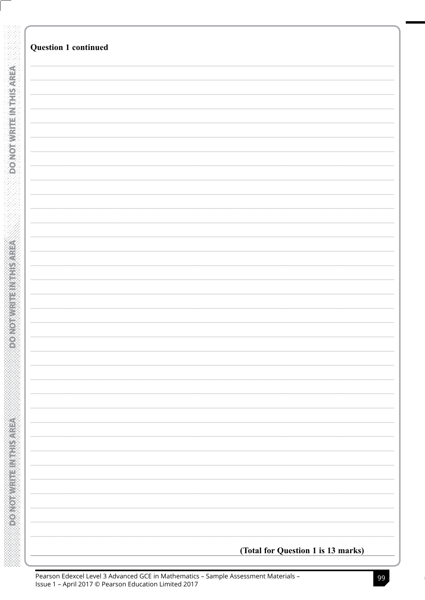|                           | <b>Question 1 continued</b>        |
|---------------------------|------------------------------------|
|                           |                                    |
|                           |                                    |
|                           |                                    |
| <b>DONOTIVILLE NEWSER</b> |                                    |
|                           |                                    |
|                           |                                    |
|                           |                                    |
|                           |                                    |
|                           |                                    |
|                           |                                    |
|                           |                                    |
|                           |                                    |
|                           |                                    |
|                           |                                    |
|                           |                                    |
|                           |                                    |
|                           |                                    |
|                           |                                    |
|                           |                                    |
|                           |                                    |
|                           |                                    |
|                           |                                    |
|                           |                                    |
|                           |                                    |
|                           |                                    |
|                           |                                    |
|                           |                                    |
|                           |                                    |
|                           |                                    |
|                           |                                    |
|                           |                                    |
|                           |                                    |
|                           |                                    |
|                           |                                    |
|                           |                                    |
|                           |                                    |
|                           |                                    |
|                           |                                    |
|                           |                                    |
|                           |                                    |
|                           |                                    |
|                           |                                    |
|                           |                                    |
|                           |                                    |
|                           |                                    |
|                           |                                    |
|                           |                                    |
|                           |                                    |
|                           |                                    |
|                           |                                    |
|                           |                                    |
|                           |                                    |
|                           |                                    |
|                           |                                    |
|                           |                                    |
|                           |                                    |
|                           |                                    |
|                           |                                    |
|                           |                                    |
|                           |                                    |
|                           |                                    |
|                           |                                    |
|                           |                                    |
|                           |                                    |
|                           |                                    |
|                           |                                    |
|                           |                                    |
|                           |                                    |
|                           |                                    |
|                           |                                    |
|                           |                                    |
|                           |                                    |
|                           | (Total for Question 1 is 13 marks) |
|                           |                                    |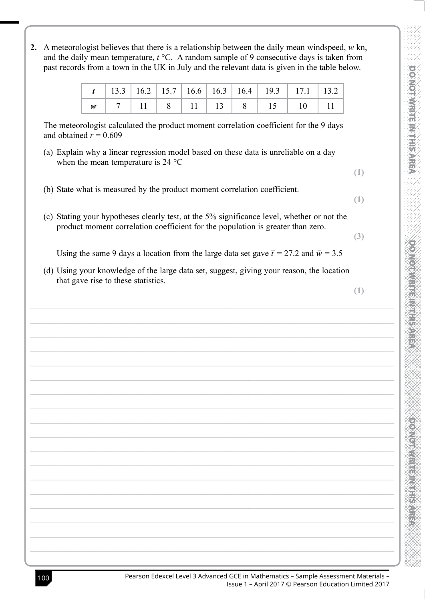2. A meteorologist believes that there is a relationship between the daily mean windspeed,  $w \text{ kn}$ , and the daily mean temperature,  $t^{\circ}$ C. A random sample of 9 consecutive days is taken from past records from a town in the UK in July and the relevant data is given in the table below.

The meteorologist calculated the product moment correlation coefficient for the 9 days and obtained  $r = 0.609$ 

- (a) Explain why a linear regression model based on these data is unreliable on a dav when the mean temperature is 24  $^{\circ}$ C
- (b) State what is measured by the product moment correlation coefficient.
- (c) Stating your hypotheses clearly test, at the 5% significance level, whether or not the product moment correlation coefficient for the population is greater than zero.

 $(3)$ 

 $(1)$ 

 $(1)$ 

**DONOLONGEMENT HIS AREA** 

Using the same 9 days a location from the large data set gave  $\bar{t} = 27.2$  and  $\bar{w} = 3.5$ 

(d) Using your knowledge of the large data set, suggest, giving your reason, the location that gave rise to these statistics.

 $(1)$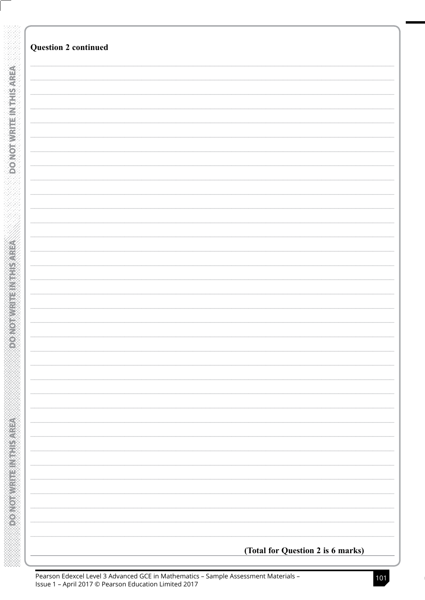| <b>Question 2 continued</b>       |
|-----------------------------------|
|                                   |
|                                   |
|                                   |
|                                   |
|                                   |
|                                   |
|                                   |
|                                   |
|                                   |
|                                   |
|                                   |
|                                   |
|                                   |
|                                   |
|                                   |
|                                   |
|                                   |
|                                   |
|                                   |
|                                   |
|                                   |
|                                   |
|                                   |
|                                   |
|                                   |
|                                   |
|                                   |
|                                   |
|                                   |
|                                   |
|                                   |
|                                   |
|                                   |
|                                   |
|                                   |
|                                   |
|                                   |
|                                   |
|                                   |
|                                   |
|                                   |
|                                   |
|                                   |
|                                   |
|                                   |
|                                   |
|                                   |
|                                   |
|                                   |
|                                   |
|                                   |
|                                   |
|                                   |
|                                   |
|                                   |
|                                   |
|                                   |
|                                   |
|                                   |
|                                   |
|                                   |
|                                   |
|                                   |
|                                   |
|                                   |
|                                   |
|                                   |
| (Total for Question 2 is 6 marks) |
|                                   |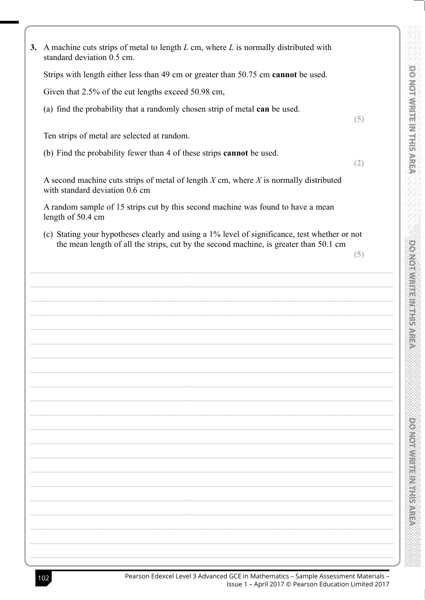| 3. A machine cuts strips of metal to length $L$ cm, where $L$ is normally distributed with<br>standard deviation 0.5 cm.                                                               |     |  |
|----------------------------------------------------------------------------------------------------------------------------------------------------------------------------------------|-----|--|
| Strips with length either less than 49 cm or greater than 50.75 cm cannot be used.                                                                                                     |     |  |
| Given that 2.5% of the cut lengths exceed 50.98 cm,                                                                                                                                    |     |  |
| (a) find the probability that a randomly chosen strip of metal can be used.                                                                                                            | (5) |  |
| Ten strips of metal are selected at random.                                                                                                                                            |     |  |
| (b) Find the probability fewer than 4 of these strips cannot be used.                                                                                                                  | (2) |  |
| A second machine cuts strips of metal of length $X$ cm, where $X$ is normally distributed<br>with standard deviation 0.6 cm                                                            |     |  |
| A random sample of 15 strips cut by this second machine was found to have a mean<br>length of 50.4 cm                                                                                  |     |  |
| (c) Stating your hypotheses clearly and using a 1% level of significance, test whether or not<br>the mean length of all the strips, cut by the second machine, is greater than 50.1 cm |     |  |
|                                                                                                                                                                                        | (5) |  |
|                                                                                                                                                                                        |     |  |
|                                                                                                                                                                                        |     |  |
|                                                                                                                                                                                        |     |  |
|                                                                                                                                                                                        |     |  |
|                                                                                                                                                                                        |     |  |
|                                                                                                                                                                                        |     |  |
|                                                                                                                                                                                        |     |  |
|                                                                                                                                                                                        |     |  |
|                                                                                                                                                                                        |     |  |
|                                                                                                                                                                                        |     |  |
|                                                                                                                                                                                        |     |  |
|                                                                                                                                                                                        |     |  |
|                                                                                                                                                                                        |     |  |
|                                                                                                                                                                                        |     |  |
|                                                                                                                                                                                        |     |  |
|                                                                                                                                                                                        |     |  |
|                                                                                                                                                                                        |     |  |
|                                                                                                                                                                                        |     |  |
|                                                                                                                                                                                        |     |  |
|                                                                                                                                                                                        |     |  |
|                                                                                                                                                                                        |     |  |
|                                                                                                                                                                                        |     |  |

K.<br>Ko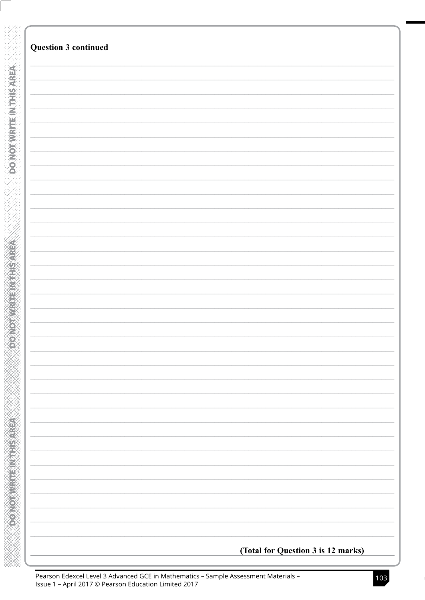| (Total for Question 3 is 12 marks) |
|------------------------------------|
|                                    |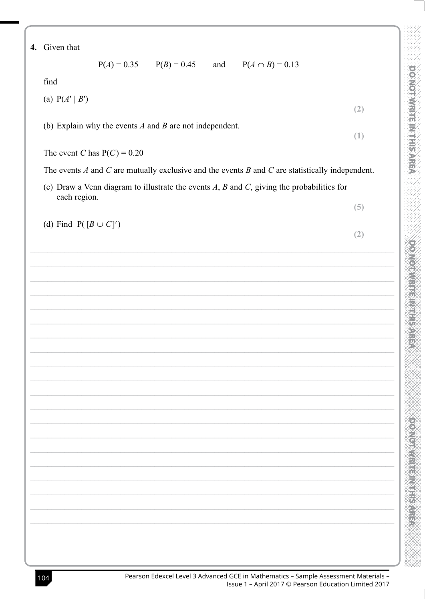|  | 4. | Given that |  |
|--|----|------------|--|
|--|----|------------|--|

 $P(A) = 0.35$  $P(B) = 0.45$ and  $P(A \cap B) = 0.13$ 

find

(a)  $P(A' | B')$ 

(b) Explain why the events  $A$  and  $B$  are not independent.

| The event C has $P(C) = 0.20$ |  |  |  |
|-------------------------------|--|--|--|
|-------------------------------|--|--|--|

The events  $A$  and  $C$  are mutually exclusive and the events  $B$  and  $C$  are statistically independent.

(c) Draw a Venn diagram to illustrate the events  $A$ ,  $B$  and  $C$ , giving the probabilities for each region.

(d) Find  $P([B \cup C]')$ 

 $(2)$ 

 $(1)$ 

**PONONES HELP HELP STREP** 

 $(5)$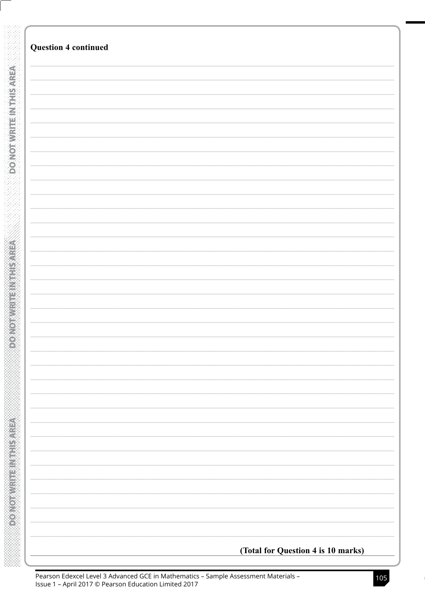|                    | <b>Question 4 continued</b>        |
|--------------------|------------------------------------|
|                    |                                    |
|                    |                                    |
|                    |                                    |
|                    |                                    |
|                    |                                    |
|                    |                                    |
|                    |                                    |
|                    |                                    |
|                    |                                    |
|                    |                                    |
|                    |                                    |
|                    |                                    |
|                    |                                    |
|                    |                                    |
|                    |                                    |
|                    |                                    |
|                    |                                    |
|                    |                                    |
|                    |                                    |
|                    |                                    |
|                    |                                    |
|                    |                                    |
|                    |                                    |
|                    |                                    |
|                    |                                    |
|                    |                                    |
| <b>TAURE ANNES</b> |                                    |
|                    |                                    |
|                    |                                    |
|                    |                                    |
|                    |                                    |
|                    |                                    |
|                    |                                    |
|                    |                                    |
|                    |                                    |
|                    |                                    |
|                    |                                    |
|                    |                                    |
|                    |                                    |
|                    |                                    |
|                    |                                    |
|                    |                                    |
|                    |                                    |
|                    |                                    |
|                    |                                    |
|                    |                                    |
|                    |                                    |
|                    |                                    |
|                    |                                    |
|                    |                                    |
|                    |                                    |
|                    |                                    |
|                    |                                    |
|                    |                                    |
|                    |                                    |
|                    |                                    |
|                    |                                    |
|                    |                                    |
|                    |                                    |
|                    |                                    |
|                    |                                    |
|                    |                                    |
|                    | (Total for Question 4 is 10 marks) |
|                    |                                    |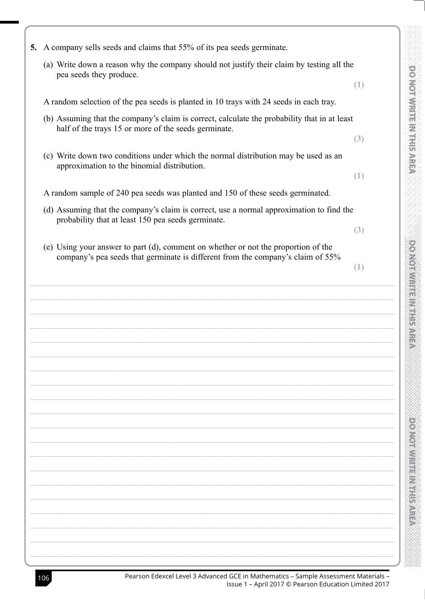| 5. | A company sells seeds and claims that 55% of its pea seeds germinate.                                                                                |     |
|----|------------------------------------------------------------------------------------------------------------------------------------------------------|-----|
|    | (a) Write down a reason why the company should not justify their claim by testing all the<br>pea seeds they produce.                                 |     |
|    |                                                                                                                                                      | (1) |
|    | A random selection of the pea seeds is planted in 10 trays with 24 seeds in each tray.                                                               |     |
|    | (b) Assuming that the company's claim is correct, calculate the probability that in at least<br>half of the trays 15 or more of the seeds germinate. |     |
|    |                                                                                                                                                      | (3) |
|    | (c) Write down two conditions under which the normal distribution may be used as an                                                                  |     |
|    | approximation to the binomial distribution.                                                                                                          | (1) |
|    | A random sample of 240 pea seeds was planted and 150 of these seeds germinated.                                                                      |     |
|    | (d) Assuming that the company's claim is correct, use a normal approximation to find the                                                             |     |
|    | probability that at least 150 pea seeds germinate.                                                                                                   | (3) |
|    | (e) Using your answer to part (d), comment on whether or not the proportion of the                                                                   |     |
|    | company's pea seeds that germinate is different from the company's claim of 55%                                                                      | (1) |
|    |                                                                                                                                                      |     |
|    |                                                                                                                                                      |     |
|    |                                                                                                                                                      |     |
|    |                                                                                                                                                      |     |
|    |                                                                                                                                                      |     |
|    |                                                                                                                                                      |     |
|    |                                                                                                                                                      |     |
|    |                                                                                                                                                      |     |
|    |                                                                                                                                                      |     |
|    |                                                                                                                                                      |     |
|    |                                                                                                                                                      |     |
|    |                                                                                                                                                      |     |
|    |                                                                                                                                                      |     |
|    |                                                                                                                                                      |     |
|    |                                                                                                                                                      |     |
|    |                                                                                                                                                      |     |
|    |                                                                                                                                                      |     |
|    |                                                                                                                                                      |     |
|    |                                                                                                                                                      |     |

**POLONES HER VEHICLE**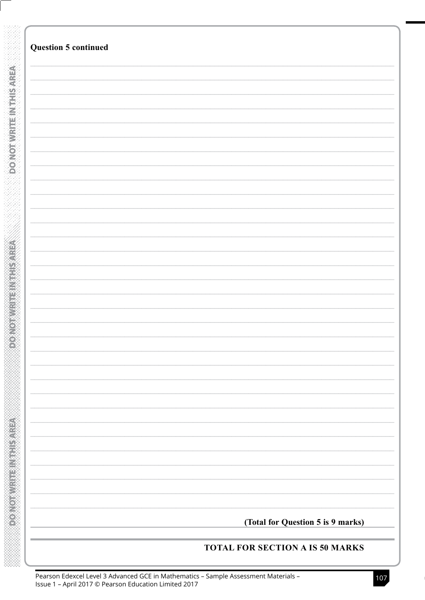| <b>Question 5 continued</b> |                                   |
|-----------------------------|-----------------------------------|
|                             |                                   |
|                             |                                   |
|                             |                                   |
|                             |                                   |
|                             |                                   |
|                             |                                   |
|                             |                                   |
|                             |                                   |
|                             |                                   |
|                             |                                   |
|                             |                                   |
|                             |                                   |
|                             |                                   |
|                             |                                   |
|                             |                                   |
|                             |                                   |
|                             |                                   |
|                             |                                   |
|                             |                                   |
|                             |                                   |
|                             |                                   |
|                             |                                   |
|                             |                                   |
|                             |                                   |
|                             |                                   |
|                             |                                   |
|                             |                                   |
|                             |                                   |
|                             |                                   |
|                             |                                   |
|                             |                                   |
|                             |                                   |
|                             |                                   |
|                             | (Total for Question 5 is 9 marks) |

**DONOTAVRITEIN THIS AREA**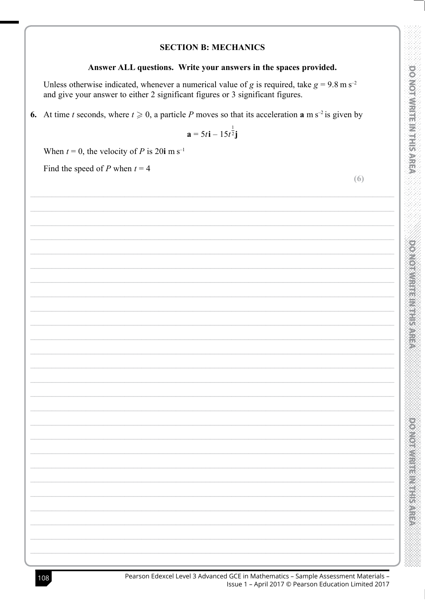### **SECTION B: MECHANICS**

## Answer ALL questions. Write your answers in the spaces provided.

Unless otherwise indicated, whenever a numerical value of g is required, take  $g = 9.8$  m s<sup>-2</sup> and give your answer to either 2 significant figures or 3 significant figures.

6. At time t seconds, where  $t \ge 0$ , a particle P moves so that its acceleration **a** m s<sup>-2</sup> is given by

$$
\mathbf{a} = 5t\mathbf{i} - 15t^{\frac{1}{2}}\mathbf{j}
$$

When  $t = 0$ , the velocity of P is 20i m s<sup>-1</sup>

Find the speed of P when  $t = 4$ 

|  | ٠ |  |
|--|---|--|
|  |   |  |
|  |   |  |
|  | I |  |

**DONOTHERNES WREA** 

e<br>Ka

| Pearson Edexcel Level 3 Advanced GCE in Mathematics - Sample Assessment Materials - |                                                       |
|-------------------------------------------------------------------------------------|-------------------------------------------------------|
|                                                                                     | Issue 1 – April 2017 © Pearson Education Limited 2017 |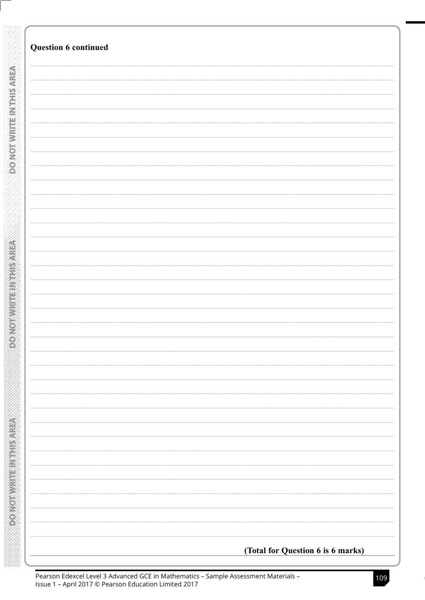| <b>Question 6 continued</b>       |
|-----------------------------------|
|                                   |
|                                   |
|                                   |
|                                   |
|                                   |
|                                   |
|                                   |
|                                   |
|                                   |
|                                   |
|                                   |
|                                   |
|                                   |
|                                   |
|                                   |
|                                   |
|                                   |
|                                   |
|                                   |
|                                   |
|                                   |
|                                   |
|                                   |
|                                   |
|                                   |
|                                   |
|                                   |
|                                   |
|                                   |
|                                   |
|                                   |
|                                   |
|                                   |
|                                   |
|                                   |
|                                   |
|                                   |
|                                   |
|                                   |
|                                   |
|                                   |
|                                   |
|                                   |
|                                   |
|                                   |
|                                   |
|                                   |
|                                   |
|                                   |
|                                   |
|                                   |
|                                   |
|                                   |
|                                   |
|                                   |
|                                   |
|                                   |
|                                   |
|                                   |
|                                   |
|                                   |
|                                   |
|                                   |
| (Total for Question 6 is 6 marks) |
|                                   |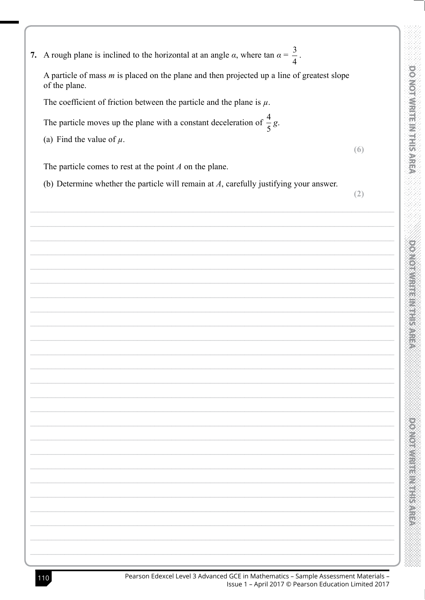| 7. A rough plane is inclined to the horizontal at an angle $\alpha$ , where tan $\alpha = \frac{3}{4}$ .      |
|---------------------------------------------------------------------------------------------------------------|
| A particle of mass $m$ is placed on the plane and then projected up a line of greatest slope<br>of the plane. |
| The coefficient of friction between the particle and the plane is $\mu$ .                                     |

The particle moves up the plane with a constant deceleration of  $\frac{4}{5}$  g.

(a) Find the value of  $\mu$ .

 $(6)$ 

**DONOTIVE HINE HIS AREA** 

The particle comes to rest at the point  $A$  on the plane.

(b) Determine whether the particle will remain at  $A$ , carefully justifying your answer.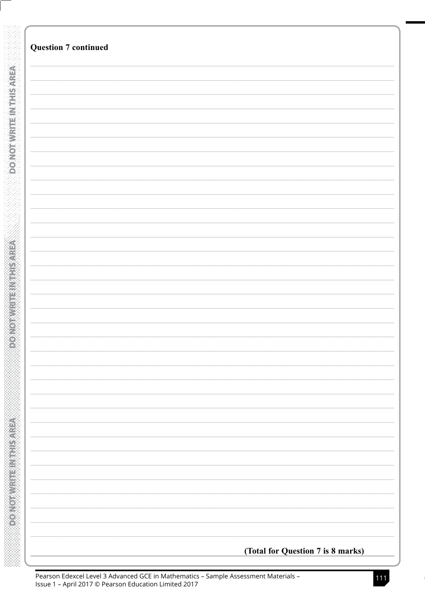| <b>Question 7 continued</b> |  |
|-----------------------------|--|
|                             |  |
|                             |  |
|                             |  |
|                             |  |
|                             |  |
|                             |  |
|                             |  |
|                             |  |
|                             |  |
|                             |  |
|                             |  |
|                             |  |
|                             |  |
|                             |  |
|                             |  |
|                             |  |
|                             |  |
|                             |  |
|                             |  |
|                             |  |
|                             |  |
|                             |  |
|                             |  |
|                             |  |
|                             |  |
|                             |  |
|                             |  |
|                             |  |
|                             |  |
|                             |  |
|                             |  |
|                             |  |
|                             |  |
|                             |  |
|                             |  |
|                             |  |
|                             |  |
|                             |  |
|                             |  |
|                             |  |
|                             |  |
|                             |  |
|                             |  |
|                             |  |
|                             |  |
|                             |  |
|                             |  |
|                             |  |
|                             |  |
|                             |  |

**SOLON HENDER ADE**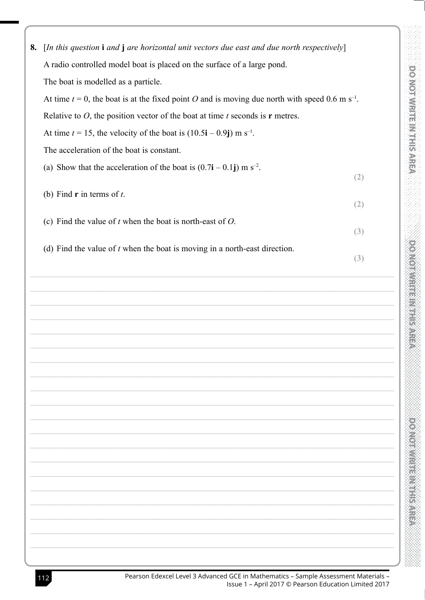| 8. | [In this question i and j are horizontal unit vectors due east and due north respectively]                    |     |
|----|---------------------------------------------------------------------------------------------------------------|-----|
|    | A radio controlled model boat is placed on the surface of a large pond.                                       |     |
|    | The boat is modelled as a particle.                                                                           |     |
|    | At time $t = 0$ , the boat is at the fixed point O and is moving due north with speed 0.6 m s <sup>-1</sup> . |     |
|    | Relative to $O$ , the position vector of the boat at time $t$ seconds is $r$ metres.                          |     |
|    | At time $t = 15$ , the velocity of the boat is $(10.5\mathbf{i} - 0.9\mathbf{j}) \text{ m s}^{-1}$ .          |     |
|    | The acceleration of the boat is constant.                                                                     |     |
|    | (a) Show that the acceleration of the boat is $(0.7\mathbf{i} - 0.1\mathbf{j}) \text{ m s}^{-2}$ .            |     |
|    |                                                                                                               | (2) |
|    | (b) Find $\mathbf r$ in terms of $t$ .<br>(2)                                                                 |     |
|    | (c) Find the value of $t$ when the boat is north-east of $O$ .                                                |     |
|    |                                                                                                               | (3) |
|    | (d) Find the value of $t$ when the boat is moving in a north-east direction.                                  |     |
|    |                                                                                                               | (3) |
|    |                                                                                                               |     |
|    |                                                                                                               |     |
|    |                                                                                                               |     |
|    |                                                                                                               |     |
|    |                                                                                                               |     |
|    |                                                                                                               |     |
|    |                                                                                                               |     |
|    |                                                                                                               |     |
|    |                                                                                                               |     |
|    |                                                                                                               |     |
|    |                                                                                                               |     |
|    |                                                                                                               |     |
|    |                                                                                                               |     |
|    |                                                                                                               |     |
|    |                                                                                                               |     |
|    |                                                                                                               |     |

 $\mathcal{D}_\epsilon$ 

**DOMESTIC NEWSFILM**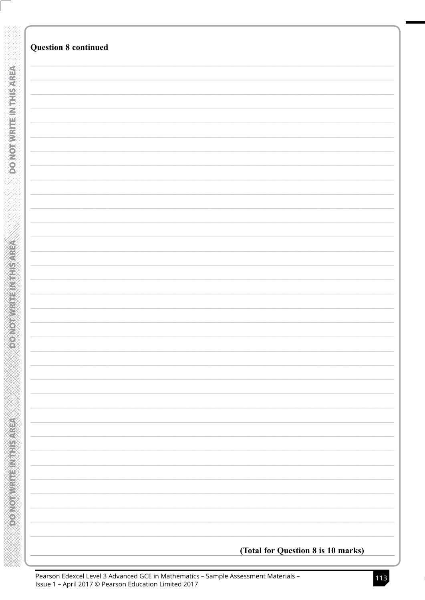|                          | <b>Question 8 continued</b>        |
|--------------------------|------------------------------------|
|                          |                                    |
|                          |                                    |
|                          |                                    |
|                          |                                    |
|                          |                                    |
|                          |                                    |
|                          |                                    |
| <b>DONORWAY HE WATER</b> |                                    |
|                          |                                    |
|                          |                                    |
|                          |                                    |
|                          |                                    |
|                          |                                    |
|                          |                                    |
|                          |                                    |
|                          |                                    |
|                          |                                    |
|                          |                                    |
|                          |                                    |
|                          |                                    |
|                          |                                    |
|                          |                                    |
|                          |                                    |
|                          |                                    |
|                          |                                    |
|                          |                                    |
|                          |                                    |
|                          |                                    |
|                          |                                    |
|                          |                                    |
|                          |                                    |
|                          |                                    |
|                          |                                    |
|                          |                                    |
|                          |                                    |
|                          |                                    |
|                          |                                    |
|                          |                                    |
|                          |                                    |
|                          |                                    |
|                          |                                    |
|                          |                                    |
|                          |                                    |
|                          |                                    |
|                          |                                    |
|                          |                                    |
|                          |                                    |
|                          |                                    |
|                          |                                    |
|                          |                                    |
|                          |                                    |
|                          |                                    |
|                          |                                    |
|                          |                                    |
|                          |                                    |
|                          |                                    |
|                          |                                    |
|                          |                                    |
|                          |                                    |
|                          |                                    |
|                          |                                    |
|                          |                                    |
|                          |                                    |
|                          | (Total for Question 8 is 10 marks) |
|                          |                                    |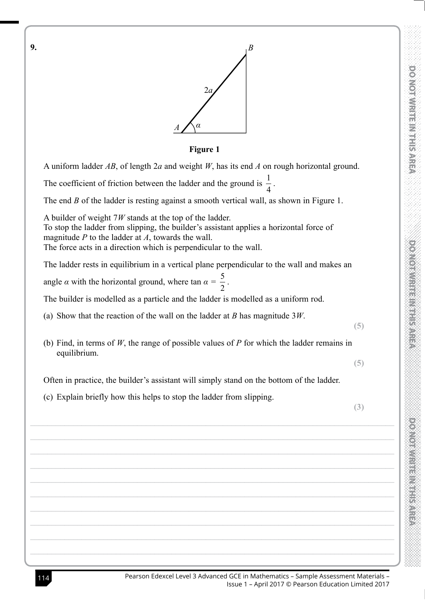

**Figure 1** A uniform ladder  $AB$ , of length  $2a$  and weight W, has its end  $A$  on rough horizontal ground. The coefficient of friction between the ladder and the ground is  $\frac{1}{4}$ . The end  $B$  of the ladder is resting against a smooth vertical wall, as shown in Figure 1. A builder of weight  $7W$  stands at the top of the ladder. To stop the ladder from slipping, the builder's assistant applies a horizontal force of magnitude  $P$  to the ladder at  $A$ , towards the wall. The force acts in a direction which is perpendicular to the wall. The ladder rests in equilibrium in a vertical plane perpendicular to the wall and makes an angle  $\alpha$  with the horizontal ground, where tan  $\alpha = \frac{5}{2}$ . The builder is modelled as a particle and the ladder is modelled as a uniform rod. (a) Show that the reaction of the wall on the ladder at B has magnitude  $3W$ .  $(5)$ (b) Find, in terms of  $W$ , the range of possible values of  $P$  for which the ladder remains in equilibrium.  $(5)$ Often in practice, the builder's assistant will simply stand on the bottom of the ladder. (c) Explain briefly how this helps to stop the ladder from slipping.  $(3)$ 

9.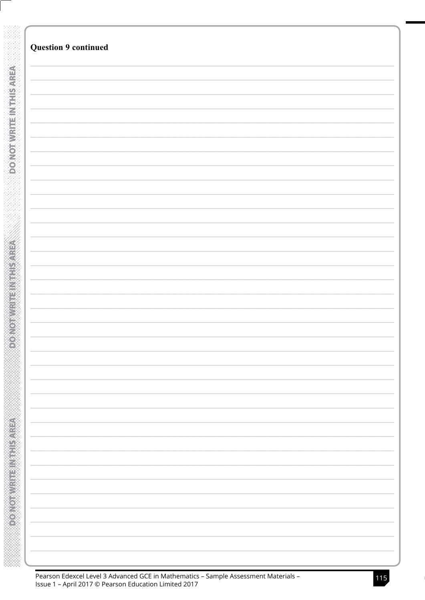| <b>Question 9 continued</b> |  |  |  |
|-----------------------------|--|--|--|
|                             |  |  |  |
|                             |  |  |  |
|                             |  |  |  |
|                             |  |  |  |
|                             |  |  |  |
|                             |  |  |  |
|                             |  |  |  |
|                             |  |  |  |
|                             |  |  |  |
|                             |  |  |  |
|                             |  |  |  |
|                             |  |  |  |
|                             |  |  |  |
|                             |  |  |  |
|                             |  |  |  |
|                             |  |  |  |
|                             |  |  |  |
|                             |  |  |  |
|                             |  |  |  |
|                             |  |  |  |
|                             |  |  |  |
|                             |  |  |  |
|                             |  |  |  |
|                             |  |  |  |
|                             |  |  |  |
|                             |  |  |  |
|                             |  |  |  |
|                             |  |  |  |
|                             |  |  |  |
|                             |  |  |  |
|                             |  |  |  |
|                             |  |  |  |
|                             |  |  |  |
|                             |  |  |  |
|                             |  |  |  |
|                             |  |  |  |
|                             |  |  |  |
|                             |  |  |  |
|                             |  |  |  |
|                             |  |  |  |
|                             |  |  |  |
|                             |  |  |  |
|                             |  |  |  |
|                             |  |  |  |
|                             |  |  |  |
|                             |  |  |  |
|                             |  |  |  |
|                             |  |  |  |
|                             |  |  |  |
|                             |  |  |  |
|                             |  |  |  |
|                             |  |  |  |
|                             |  |  |  |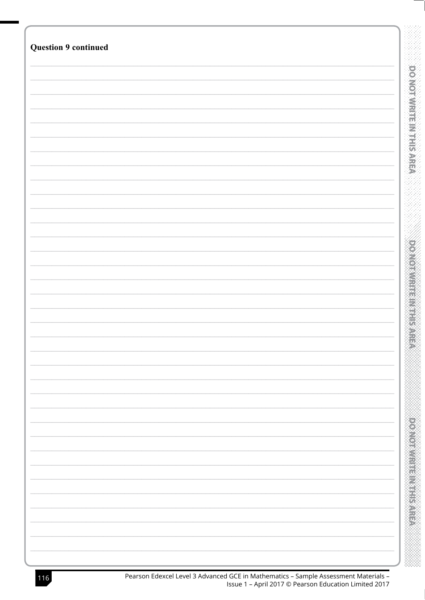| <b>Question 9 continued</b> |                             |
|-----------------------------|-----------------------------|
|                             |                             |
|                             |                             |
|                             |                             |
|                             | OO                          |
|                             |                             |
|                             | <b>Nonvinential Princip</b> |
|                             |                             |
|                             |                             |
|                             |                             |
|                             |                             |
|                             |                             |
|                             |                             |
|                             |                             |
|                             |                             |
|                             |                             |
|                             |                             |
|                             | n<br>Ed                     |
|                             |                             |
|                             |                             |
|                             |                             |
|                             |                             |
|                             |                             |
|                             |                             |
|                             |                             |
|                             |                             |
|                             |                             |
|                             |                             |
|                             |                             |
|                             |                             |
|                             |                             |
|                             |                             |
|                             |                             |
|                             |                             |
|                             |                             |
|                             |                             |
|                             |                             |
|                             |                             |
|                             |                             |
|                             |                             |
|                             |                             |
|                             |                             |
|                             |                             |
|                             |                             |
|                             |                             |
|                             |                             |
|                             |                             |
|                             |                             |
|                             |                             |
|                             |                             |
|                             |                             |
|                             |                             |
|                             |                             |
|                             |                             |
|                             |                             |
|                             |                             |
|                             |                             |
|                             |                             |
|                             |                             |
|                             |                             |
|                             |                             |
|                             |                             |
|                             |                             |
|                             |                             |
|                             |                             |
|                             |                             |
|                             |                             |
|                             |                             |
|                             |                             |
|                             |                             |
|                             |                             |
|                             |                             |
|                             |                             |
|                             |                             |
|                             |                             |
|                             |                             |
|                             |                             |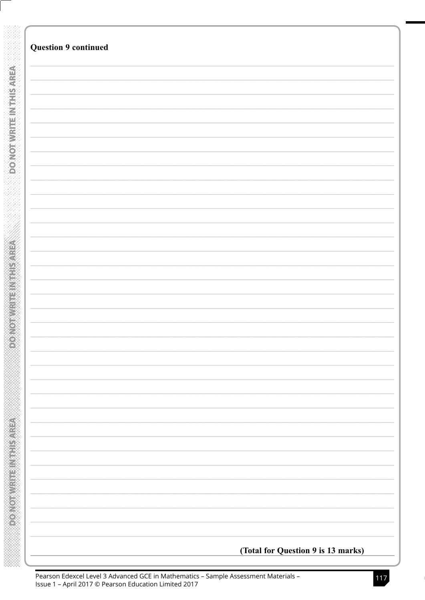| <b>Question 9 continued</b>        |
|------------------------------------|
|                                    |
|                                    |
|                                    |
|                                    |
|                                    |
|                                    |
|                                    |
|                                    |
|                                    |
|                                    |
|                                    |
|                                    |
|                                    |
|                                    |
|                                    |
|                                    |
|                                    |
|                                    |
|                                    |
|                                    |
|                                    |
|                                    |
|                                    |
|                                    |
|                                    |
|                                    |
|                                    |
|                                    |
|                                    |
|                                    |
|                                    |
|                                    |
|                                    |
|                                    |
|                                    |
|                                    |
|                                    |
|                                    |
|                                    |
|                                    |
|                                    |
|                                    |
|                                    |
|                                    |
|                                    |
|                                    |
|                                    |
|                                    |
|                                    |
|                                    |
|                                    |
|                                    |
|                                    |
|                                    |
|                                    |
|                                    |
|                                    |
|                                    |
| (Total for Question 9 is 13 marks) |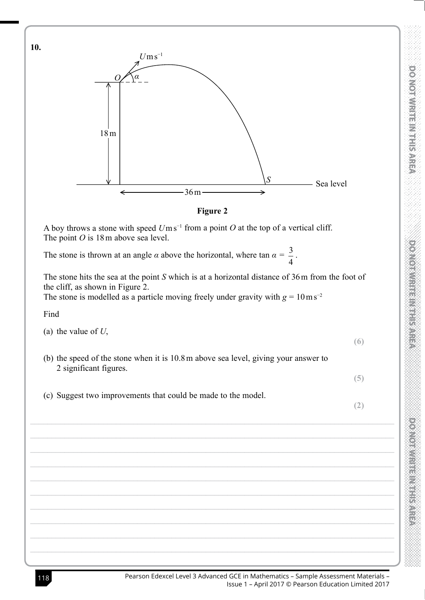

## Figure 2

A boy throws a stone with speed  $U$ ms<sup>-1</sup> from a point O at the top of a vertical cliff. The point  $O$  is 18 m above sea level.

The stone is thrown at an angle  $\alpha$  above the horizontal, where  $\tan \alpha = \frac{3}{4}$ .

The stone hits the sea at the point  $S$  which is at a horizontal distance of  $36$  m from the foot of the cliff, as shown in Figure 2.

The stone is modelled as a particle moving freely under gravity with  $g = 10 \text{ m s}^{-2}$ 

Find

- (a) the value of  $U$ ,
- (b) the speed of the stone when it is 10.8 m above sea level, giving your answer to 2 significant figures.
- (c) Suggest two improvements that could be made to the model.

 $(2)$ 

 $(5)$ 

 $(6)$ 

**DONOTIVE IN EXPERI** 

10.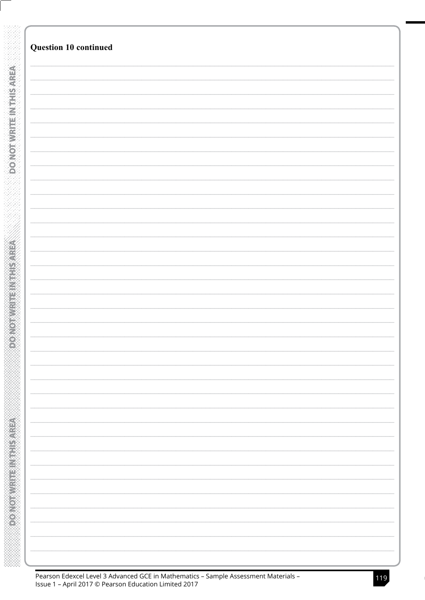|                             | Question 10 continued |
|-----------------------------|-----------------------|
|                             |                       |
|                             |                       |
|                             |                       |
|                             |                       |
|                             |                       |
|                             |                       |
|                             |                       |
|                             |                       |
|                             |                       |
| <b>DO MOTHER TELESPRIES</b> |                       |
|                             |                       |
|                             |                       |
|                             |                       |
|                             |                       |
|                             |                       |
|                             |                       |
|                             |                       |
|                             |                       |
|                             |                       |
|                             |                       |
|                             |                       |
|                             |                       |
|                             |                       |
|                             |                       |
|                             |                       |
|                             |                       |
|                             |                       |
|                             |                       |
|                             |                       |
|                             |                       |
|                             |                       |
|                             |                       |
|                             |                       |
|                             |                       |
|                             |                       |
|                             |                       |
|                             |                       |
|                             |                       |
|                             |                       |
| $\overline{\mathcal{L}}$    |                       |
|                             |                       |
|                             |                       |
|                             |                       |
|                             |                       |
|                             |                       |
|                             |                       |
|                             |                       |
|                             |                       |
|                             |                       |
|                             |                       |
|                             |                       |
|                             |                       |
|                             |                       |
|                             |                       |
|                             |                       |
|                             |                       |
|                             |                       |
|                             |                       |
|                             |                       |
|                             |                       |
|                             |                       |
|                             |                       |
|                             |                       |
|                             |                       |
|                             |                       |
|                             |                       |
|                             |                       |
|                             |                       |
|                             |                       |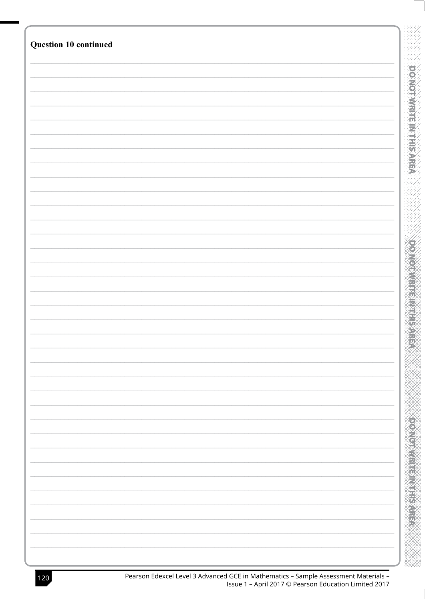| Question 10 continued |                     |
|-----------------------|---------------------|
|                       |                     |
|                       |                     |
|                       |                     |
|                       | OO                  |
|                       | <b>Morwitherman</b> |
|                       |                     |
|                       |                     |
|                       |                     |
|                       |                     |
|                       |                     |
|                       |                     |
|                       |                     |
|                       |                     |
|                       |                     |
|                       |                     |
|                       |                     |
|                       | <b>DARIT</b>        |
|                       |                     |
|                       |                     |
|                       |                     |
|                       |                     |
|                       |                     |
|                       |                     |
|                       |                     |
|                       |                     |
|                       |                     |
|                       |                     |
|                       |                     |
|                       |                     |
|                       |                     |
|                       |                     |
|                       |                     |
|                       |                     |
|                       |                     |
|                       |                     |
|                       |                     |
|                       |                     |
|                       |                     |
|                       |                     |
|                       |                     |
|                       |                     |
|                       |                     |
|                       |                     |
|                       |                     |
|                       |                     |
|                       |                     |
|                       |                     |
|                       |                     |
|                       |                     |
|                       |                     |
|                       |                     |
|                       |                     |
|                       |                     |
|                       |                     |
|                       |                     |
|                       |                     |
|                       |                     |
|                       |                     |
|                       |                     |
|                       |                     |
|                       |                     |
|                       |                     |
|                       |                     |
|                       |                     |
|                       |                     |
|                       |                     |
|                       |                     |
|                       |                     |
|                       |                     |
|                       |                     |
|                       |                     |
|                       |                     |
|                       |                     |
|                       |                     |
|                       |                     |